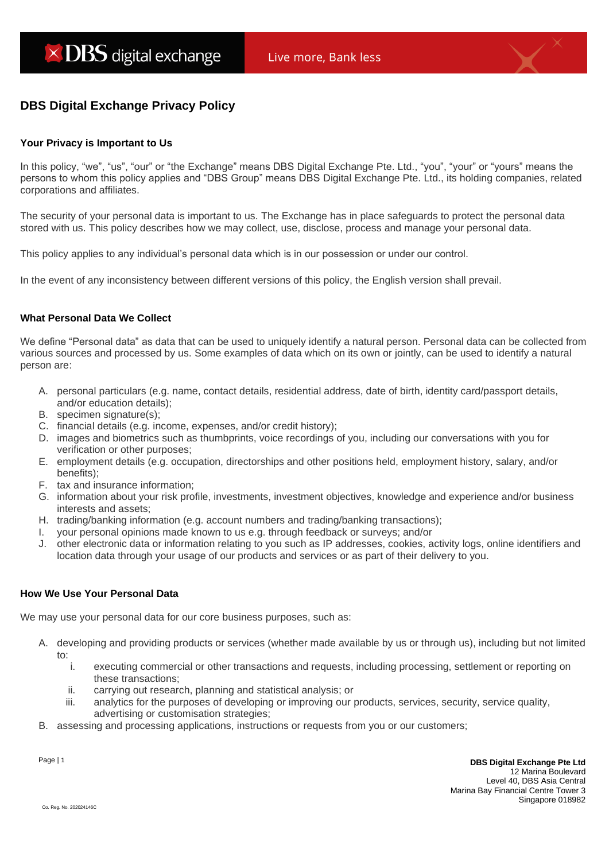# **DBS Digital Exchange Privacy Policy**

# **Your Privacy is Important to Us**

In this policy, "we", "us", "our" or "the Exchange" means DBS Digital Exchange Pte. Ltd., "you", "your" or "yours" means the persons to whom this policy applies and "DBS Group" means DBS Digital Exchange Pte. Ltd., its holding companies, related corporations and affiliates.

The security of your personal data is important to us. The Exchange has in place safeguards to protect the personal data stored with us. This policy describes how we may collect, use, disclose, process and manage your personal data.

This policy applies to any individual's personal data which is in our possession or under our control.

In the event of any inconsistency between different versions of this policy, the English version shall prevail.

# **What Personal Data We Collect**

We define "Personal data" as data that can be used to uniquely identify a natural person. Personal data can be collected from various sources and processed by us. Some examples of data which on its own or jointly, can be used to identify a natural person are:

- A. personal particulars (e.g. name, contact details, residential address, date of birth, identity card/passport details, and/or education details);
- B. specimen signature(s);
- C. financial details (e.g. income, expenses, and/or credit history);
- D. images and biometrics such as thumbprints, voice recordings of you, including our conversations with you for verification or other purposes;
- E. employment details (e.g. occupation, directorships and other positions held, employment history, salary, and/or benefits);
- F. tax and insurance information;
- G. information about your risk profile, investments, investment objectives, knowledge and experience and/or business interests and assets;
- H. trading/banking information (e.g. account numbers and trading/banking transactions);
- I. your personal opinions made known to us e.g. through feedback or surveys; and/or
- J. other electronic data or information relating to you such as IP addresses, cookies, activity logs, online identifiers and location data through your usage of our products and services or as part of their delivery to you.

# **How We Use Your Personal Data**

We may use your personal data for our core business purposes, such as:

- A. developing and providing products or services (whether made available by us or through us), including but not limited to:
	- i. executing commercial or other transactions and requests, including processing, settlement or reporting on these transactions;
	- ii. carrying out research, planning and statistical analysis; or
	- iii. analytics for the purposes of developing or improving our products, services, security, service quality, advertising or customisation strategies;
- B. assessing and processing applications, instructions or requests from you or our customers;

Page | 1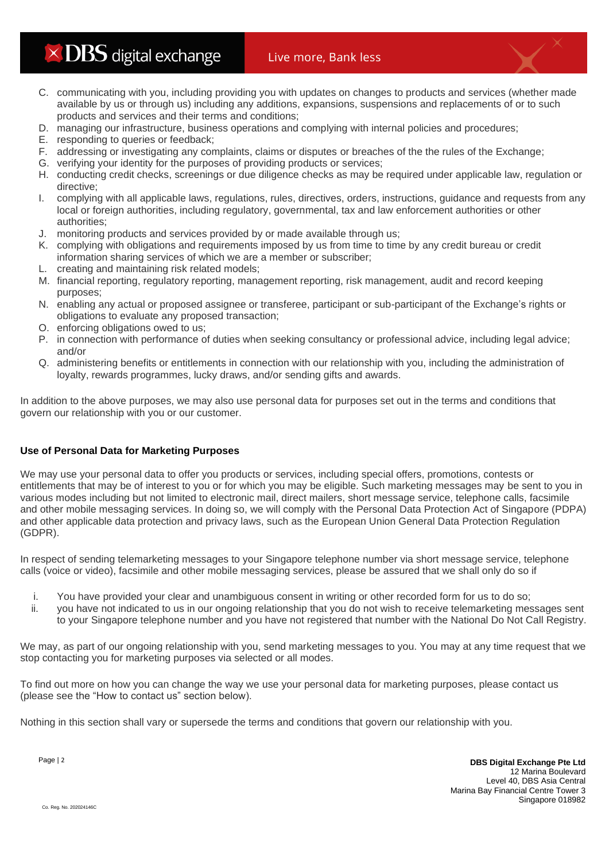$\times$  DBS digital exchange

- C. communicating with you, including providing you with updates on changes to products and services (whether made available by us or through us) including any additions, expansions, suspensions and replacements of or to such products and services and their terms and conditions;
- D. managing our infrastructure, business operations and complying with internal policies and procedures;
- E. responding to queries or feedback;
- F. addressing or investigating any complaints, claims or disputes or breaches of the the rules of the Exchange;
- G. verifying your identity for the purposes of providing products or services;
- H. conducting credit checks, screenings or due diligence checks as may be required under applicable law, regulation or directive;
- I. complying with all applicable laws, regulations, rules, directives, orders, instructions, guidance and requests from any local or foreign authorities, including regulatory, governmental, tax and law enforcement authorities or other authorities;
- J. monitoring products and services provided by or made available through us;
- K. complying with obligations and requirements imposed by us from time to time by any credit bureau or credit information sharing services of which we are a member or subscriber;
- L. creating and maintaining risk related models;
- M. financial reporting, regulatory reporting, management reporting, risk management, audit and record keeping purposes;
- N. enabling any actual or proposed assignee or transferee, participant or sub-participant of the Exchange's rights or obligations to evaluate any proposed transaction;
- O. enforcing obligations owed to us;
- P. in connection with performance of duties when seeking consultancy or professional advice, including legal advice; and/or
- Q. administering benefits or entitlements in connection with our relationship with you, including the administration of loyalty, rewards programmes, lucky draws, and/or sending gifts and awards.

In addition to the above purposes, we may also use personal data for purposes set out in the terms and conditions that govern our relationship with you or our customer.

# **Use of Personal Data for Marketing Purposes**

We may use your personal data to offer you products or services, including special offers, promotions, contests or entitlements that may be of interest to you or for which you may be eligible. Such marketing messages may be sent to you in various modes including but not limited to electronic mail, direct mailers, short message service, telephone calls, facsimile and other mobile messaging services. In doing so, we will comply with the Personal Data Protection Act of Singapore (PDPA) and other applicable data protection and privacy laws, such as the European Union General Data Protection Regulation (GDPR).

In respect of sending telemarketing messages to your Singapore telephone number via short message service, telephone calls (voice or video), facsimile and other mobile messaging services, please be assured that we shall only do so if

- i. You have provided your clear and unambiguous consent in writing or other recorded form for us to do so;
- ii. you have not indicated to us in our ongoing relationship that you do not wish to receive telemarketing messages sent to your Singapore telephone number and you have not registered that number with the National Do Not Call Registry.

We may, as part of our ongoing relationship with you, send marketing messages to you. You may at any time request that we stop contacting you for marketing purposes via selected or all modes.

To find out more on how you can change the way we use your personal data for marketing purposes, please contact us (please see the "How to contact us" section below).

Nothing in this section shall vary or supersede the terms and conditions that govern our relationship with you.

Page | 2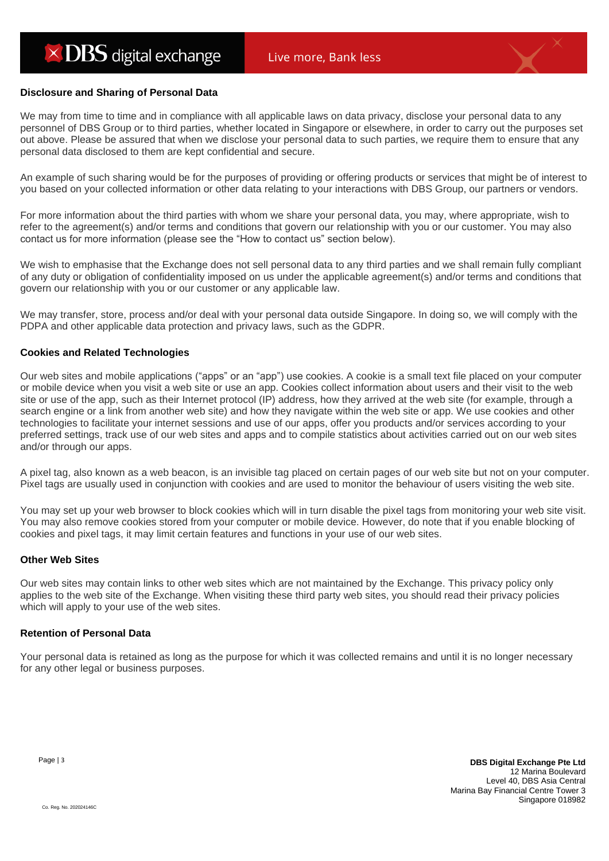#### **Disclosure and Sharing of Personal Data**

We may from time to time and in compliance with all applicable laws on data privacy, disclose your personal data to any personnel of DBS Group or to third parties, whether located in Singapore or elsewhere, in order to carry out the purposes set out above. Please be assured that when we disclose your personal data to such parties, we require them to ensure that any personal data disclosed to them are kept confidential and secure.

An example of such sharing would be for the purposes of providing or offering products or services that might be of interest to you based on your collected information or other data relating to your interactions with DBS Group, our partners or vendors.

For more information about the third parties with whom we share your personal data, you may, where appropriate, wish to refer to the agreement(s) and/or terms and conditions that govern our relationship with you or our customer. You may also contact us for more information (please see the "How to contact us" section below).

We wish to emphasise that the Exchange does not sell personal data to any third parties and we shall remain fully compliant of any duty or obligation of confidentiality imposed on us under the applicable agreement(s) and/or terms and conditions that govern our relationship with you or our customer or any applicable law.

We may transfer, store, process and/or deal with your personal data outside Singapore. In doing so, we will comply with the PDPA and other applicable data protection and privacy laws, such as the GDPR.

#### **Cookies and Related Technologies**

Our web sites and mobile applications ("apps" or an "app") use cookies. A cookie is a small text file placed on your computer or mobile device when you visit a web site or use an app. Cookies collect information about users and their visit to the web site or use of the app, such as their Internet protocol (IP) address, how they arrived at the web site (for example, through a search engine or a link from another web site) and how they navigate within the web site or app. We use cookies and other technologies to facilitate your internet sessions and use of our apps, offer you products and/or services according to your preferred settings, track use of our web sites and apps and to compile statistics about activities carried out on our web sites and/or through our apps.

A pixel tag, also known as a web beacon, is an invisible tag placed on certain pages of our web site but not on your computer. Pixel tags are usually used in conjunction with cookies and are used to monitor the behaviour of users visiting the web site.

You may set up your web browser to block cookies which will in turn disable the pixel tags from monitoring your web site visit. You may also remove cookies stored from your computer or mobile device. However, do note that if you enable blocking of cookies and pixel tags, it may limit certain features and functions in your use of our web sites.

#### **Other Web Sites**

Our web sites may contain links to other web sites which are not maintained by the Exchange. This privacy policy only applies to the web site of the Exchange. When visiting these third party web sites, you should read their privacy policies which will apply to your use of the web sites.

# **Retention of Personal Data**

Your personal data is retained as long as the purpose for which it was collected remains and until it is no longer necessary for any other legal or business purposes.